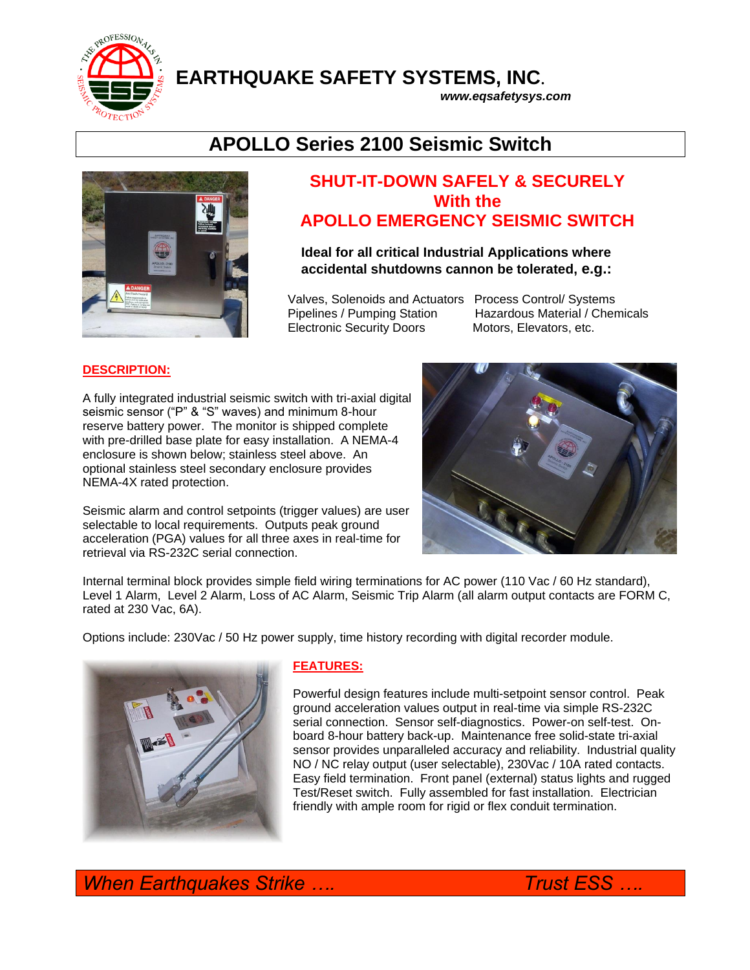

**EARTHQUAKE SAFETY SYSTEMS, INC**.

*www.eqsafetysys.com*

## **APOLLO Series 2100 Seismic Switch**



### **SHUT-IT-DOWN SAFELY & SECURELY With the APOLLO EMERGENCY SEISMIC SWITCH**

**Ideal for all critical Industrial Applications where accidental shutdowns cannon be tolerated, e.g.:** 

 Valves, Solenoids and Actuators Process Control/ Systems Pipelines / Pumping Station Hazardous Material / Chemicals Electronic Security Doors Motors, Elevators, etc.

#### **DESCRIPTION:**

A fully integrated industrial seismic switch with tri-axial digital seismic sensor ("P" & "S" waves) and minimum 8-hour reserve battery power. The monitor is shipped complete with pre-drilled base plate for easy installation. A NEMA-4 enclosure is shown below; stainless steel above. An optional stainless steel secondary enclosure provides NEMA-4X rated protection.

Seismic alarm and control setpoints (trigger values) are user selectable to local requirements. Outputs peak ground acceleration (PGA) values for all three axes in real-time for retrieval via RS-232C serial connection.



Internal terminal block provides simple field wiring terminations for AC power (110 Vac / 60 Hz standard), Level 1 Alarm, Level 2 Alarm, Loss of AC Alarm, Seismic Trip Alarm (all alarm output contacts are FORM C, rated at 230 Vac, 6A).

Options include: 230Vac / 50 Hz power supply, time history recording with digital recorder module.



#### **FEATURES:**

Powerful design features include multi-setpoint sensor control. Peak ground acceleration values output in real-time via simple RS-232C serial connection. Sensor self-diagnostics. Power-on self-test. Onboard 8-hour battery back-up. Maintenance free solid-state tri-axial sensor provides unparalleled accuracy and reliability. Industrial quality NO / NC relay output (user selectable), 230Vac / 10A rated contacts. Easy field termination. Front panel (external) status lights and rugged Test/Reset switch. Fully assembled for fast installation. Electrician friendly with ample room for rigid or flex conduit termination.

*When Earthquakes Strike …. Trust ESS ….*